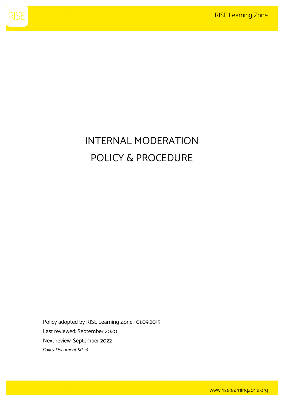

## INTERNAL MODERATION POLICY & PROCEDURE

Policy adopted by RISE Learning Zone: 01.09.2015 Last reviewed: September 2020 Next review: September 2022 Policy Document SP-16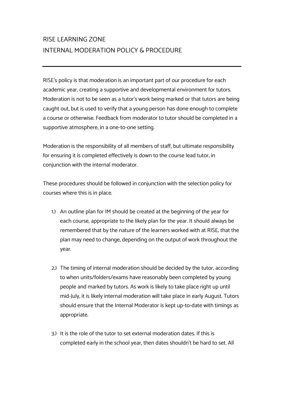## RISE LEARNING ZONE INTERNAL MODERATION POLICY & PROCEDURE

RISE's policy is that moderation is an important part of our procedure for each academic year, creating a supportive and developmental environment for tutors. Moderation is not to be seen as a tutor's work being marked or that tutors are being caught out, but is used to verify that a young person has done enough to complete a course or otherwise. Feedback from moderator to tutor should be completed in a supportive atmosphere, in a one-to-one setting.

Moderation is the responsibility of all members of staff, but ultimate responsibility for ensuring it is completed effectively is down to the course lead tutor; in conjunction with the internal moderator.

These procedures should be followed in conjunction with the selection policy for courses where this is in place.

- 1.) An outline plan for IM should be created at the beginning of the year for each course, appropriate to the likely plan for the year. It should always be remembered that by the nature of the learners worked with at RISE; that the plan may need to change, depending on the output of work throughout the year.
- 2.) The timing of internal moderation should be decided by the tutor, according to when units/folders/exams have reasonably been completed by young people and marked by tutors. As work is likely to take place right up until mid-July, it is likely internal moderation will take place in early August. Tutors should ensure that the Internal Moderator is kept up-to-date with timings as appropriate.
- 3.) It is the role of the tutor to set external moderation dates. If this is completed early in the school year, then dates shouldn't be hard to set. All